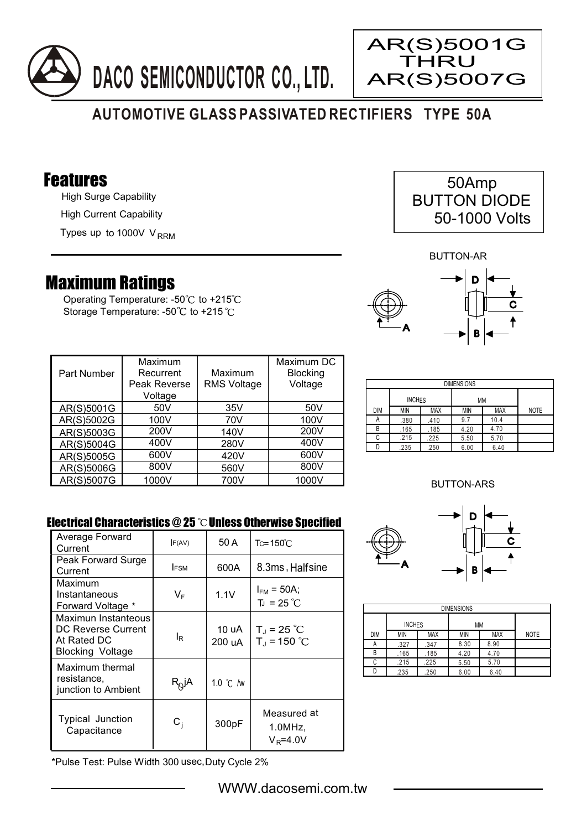



# **AUTOMOTIVE GLASS PASSIVATED RECTIFIERS TYPE 50A**

### Features

High Surge Capability High Current Capability

Types up to 1000V V<sub>RRM</sub>

## Maximum Ratings

Operating Temperature: - $50^{\circ}$ C to +215 $^{\circ}$ C Storage Temperature: -50°C to +215°C

| 50Amp               |  |
|---------------------|--|
| <b>BUTTON DIODE</b> |  |
| 50-1000 Volts       |  |

BUTTON-AR

AR(S)5001G



| Part Number | Maximum<br>Recurrent<br>Peak Reverse<br>Voltage | Maximum<br><b>RMS Voltage</b> | Maximum DC<br><b>Blocking</b><br>Voltage |
|-------------|-------------------------------------------------|-------------------------------|------------------------------------------|
| AR(S)5001G  | 50 <sub>V</sub>                                 | 35V                           | 50V                                      |
| AR(S)5002G  | 100V                                            | 70V                           | 100V                                     |
| AR(S)5003G  | 200V                                            | 140V                          | 200V                                     |
| AR(S)5004G  | 400V                                            | 280V                          | 400V                                     |
| AR(S)5005G  | 600V                                            | 420V                          | 600V                                     |
| AR(S)5006G  | 800V                                            | 560V                          | 800V                                     |
| AR(S)5007G  | 1000V                                           | 700V                          | 1000V                                    |

| <b>DIMENSIONS</b> |               |            |            |            |             |  |
|-------------------|---------------|------------|------------|------------|-------------|--|
|                   | <b>INCHES</b> |            | МM         |            |             |  |
| <b>DIM</b>        | MIN           | <b>MAX</b> | <b>MIN</b> | <b>MAX</b> | <b>NOTE</b> |  |
| Α                 | .380          | .410       | 9.7        | 10.4       |             |  |
| В                 | .165          | .185       | 4.20       | 4.70       |             |  |
| C                 | .215          | .225       | 5.50       | 5.70       |             |  |
|                   | .235          | .250       | 6.00       | 6.40       |             |  |

### BUTTON-ARS

### Electrical Characteristics  $@25$   $^{\circ}$ C Unless Otherwise Specified

| Average Forward<br>Current                                                   | F(AV)        | 50 A            | $Tc = 150^{\circ}$ C                        |
|------------------------------------------------------------------------------|--------------|-----------------|---------------------------------------------|
| Peak Forward Surge<br>Current                                                | <b>IFSM</b>  | 600A            | 8.3ms, Halfsine                             |
| Maximum<br>Instantaneous<br>Forward Voltage *                                | VF           | 1.1V            | $I_{FM}$ = 50A;<br>$T_1 = 25 °C$            |
| Maximun Instanteous<br>DC Reverse Current<br>At Rated DC<br>Blocking Voltage | ΙR           | 10 uA<br>200 uA | $T_{\rm J}$ = 25 °C<br>$T_{\rm d}$ = 150 °C |
| Maximum thermal<br>resistance,<br>junction to Ambient                        | $R_Q$ jA     | 1.0 °C /w       |                                             |
| <b>Typical Junction</b><br>Capacitance                                       | $\rm{C_{i}}$ | 300pF           | Measured at<br>1.0MHz<br>$V_R = 4.0V$       |

\*Pulse Test: Pulse Width 300 usec,Duty Cycle 2%



| <b>DIMENSIONS</b> |               |            |            |            |             |  |
|-------------------|---------------|------------|------------|------------|-------------|--|
|                   | <b>INCHES</b> |            | <b>MM</b>  |            |             |  |
| <b>DIM</b>        | <b>MIN</b>    | <b>MAX</b> | <b>MIN</b> | <b>MAX</b> | <b>NOTE</b> |  |
| А                 | .327          | .347       | 8.30       | 8.90       |             |  |
| B                 | .165          | .185       | 4.20       | 4.70       |             |  |
| C                 | .215          | .225       | 5.50       | 5.70       |             |  |
|                   | .235          | .250       | 6.00       | 6.40       |             |  |